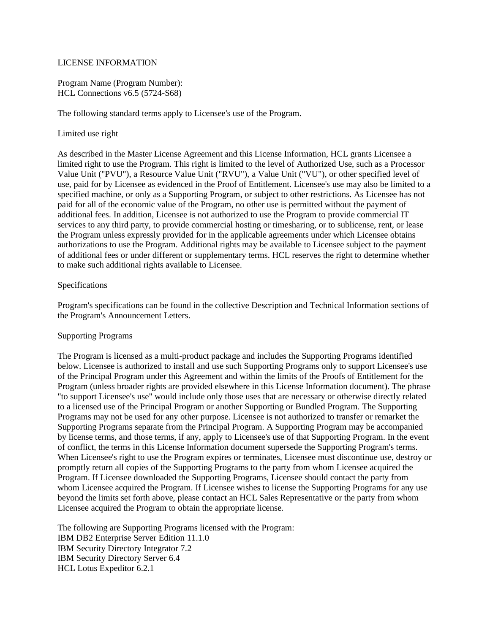## LICENSE INFORMATION

Program Name (Program Number): HCL Connections v6.5 (5724-S68)

The following standard terms apply to Licensee's use of the Program.

## Limited use right

As described in the Master License Agreement and this License Information, HCL grants Licensee a limited right to use the Program. This right is limited to the level of Authorized Use, such as a Processor Value Unit ("PVU"), a Resource Value Unit ("RVU"), a Value Unit ("VU"), or other specified level of use, paid for by Licensee as evidenced in the Proof of Entitlement. Licensee's use may also be limited to a specified machine, or only as a Supporting Program, or subject to other restrictions. As Licensee has not paid for all of the economic value of the Program, no other use is permitted without the payment of additional fees. In addition, Licensee is not authorized to use the Program to provide commercial IT services to any third party, to provide commercial hosting or timesharing, or to sublicense, rent, or lease the Program unless expressly provided for in the applicable agreements under which Licensee obtains authorizations to use the Program. Additional rights may be available to Licensee subject to the payment of additional fees or under different or supplementary terms. HCL reserves the right to determine whether to make such additional rights available to Licensee.

# Specifications

Program's specifications can be found in the collective Description and Technical Information sections of the Program's Announcement Letters.

#### Supporting Programs

The Program is licensed as a multi-product package and includes the Supporting Programs identified below. Licensee is authorized to install and use such Supporting Programs only to support Licensee's use of the Principal Program under this Agreement and within the limits of the Proofs of Entitlement for the Program (unless broader rights are provided elsewhere in this License Information document). The phrase "to support Licensee's use" would include only those uses that are necessary or otherwise directly related to a licensed use of the Principal Program or another Supporting or Bundled Program. The Supporting Programs may not be used for any other purpose. Licensee is not authorized to transfer or remarket the Supporting Programs separate from the Principal Program. A Supporting Program may be accompanied by license terms, and those terms, if any, apply to Licensee's use of that Supporting Program. In the event of conflict, the terms in this License Information document supersede the Supporting Program's terms. When Licensee's right to use the Program expires or terminates, Licensee must discontinue use, destroy or promptly return all copies of the Supporting Programs to the party from whom Licensee acquired the Program. If Licensee downloaded the Supporting Programs, Licensee should contact the party from whom Licensee acquired the Program. If Licensee wishes to license the Supporting Programs for any use beyond the limits set forth above, please contact an HCL Sales Representative or the party from whom Licensee acquired the Program to obtain the appropriate license.

The following are Supporting Programs licensed with the Program: IBM DB2 Enterprise Server Edition 11.1.0 IBM Security Directory Integrator 7.2 IBM Security Directory Server 6.4 HCL Lotus Expeditor 6.2.1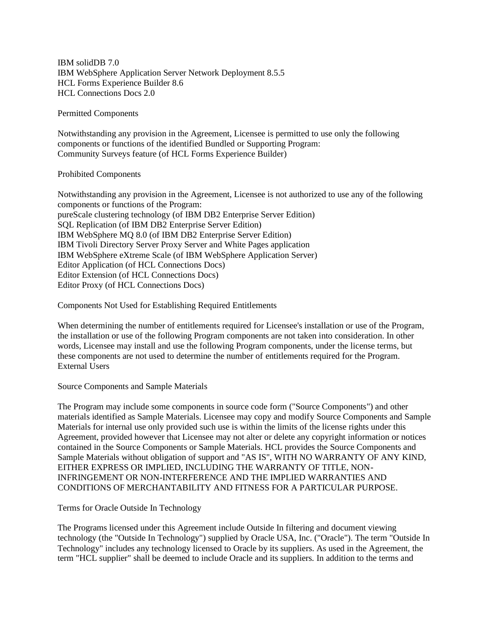IBM solidDB 7.0 IBM WebSphere Application Server Network Deployment 8.5.5 HCL Forms Experience Builder 8.6 HCL Connections Docs 2.0

Permitted Components

Notwithstanding any provision in the Agreement, Licensee is permitted to use only the following components or functions of the identified Bundled or Supporting Program: Community Surveys feature (of HCL Forms Experience Builder)

## Prohibited Components

Notwithstanding any provision in the Agreement, Licensee is not authorized to use any of the following components or functions of the Program: pureScale clustering technology (of IBM DB2 Enterprise Server Edition) SQL Replication (of IBM DB2 Enterprise Server Edition) IBM WebSphere MQ 8.0 (of IBM DB2 Enterprise Server Edition) IBM Tivoli Directory Server Proxy Server and White Pages application IBM WebSphere eXtreme Scale (of IBM WebSphere Application Server) Editor Application (of HCL Connections Docs) Editor Extension (of HCL Connections Docs) Editor Proxy (of HCL Connections Docs)

Components Not Used for Establishing Required Entitlements

When determining the number of entitlements required for Licensee's installation or use of the Program, the installation or use of the following Program components are not taken into consideration. In other words, Licensee may install and use the following Program components, under the license terms, but these components are not used to determine the number of entitlements required for the Program. External Users

#### Source Components and Sample Materials

The Program may include some components in source code form ("Source Components") and other materials identified as Sample Materials. Licensee may copy and modify Source Components and Sample Materials for internal use only provided such use is within the limits of the license rights under this Agreement, provided however that Licensee may not alter or delete any copyright information or notices contained in the Source Components or Sample Materials. HCL provides the Source Components and Sample Materials without obligation of support and "AS IS", WITH NO WARRANTY OF ANY KIND, EITHER EXPRESS OR IMPLIED, INCLUDING THE WARRANTY OF TITLE, NON-INFRINGEMENT OR NON-INTERFERENCE AND THE IMPLIED WARRANTIES AND CONDITIONS OF MERCHANTABILITY AND FITNESS FOR A PARTICULAR PURPOSE.

Terms for Oracle Outside In Technology

The Programs licensed under this Agreement include Outside In filtering and document viewing technology (the "Outside In Technology") supplied by Oracle USA, Inc. ("Oracle"). The term "Outside In Technology" includes any technology licensed to Oracle by its suppliers. As used in the Agreement, the term "HCL supplier" shall be deemed to include Oracle and its suppliers. In addition to the terms and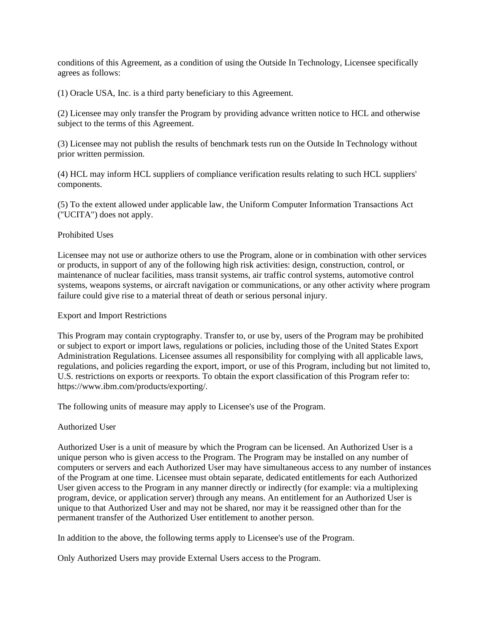conditions of this Agreement, as a condition of using the Outside In Technology, Licensee specifically agrees as follows:

(1) Oracle USA, Inc. is a third party beneficiary to this Agreement.

(2) Licensee may only transfer the Program by providing advance written notice to HCL and otherwise subject to the terms of this Agreement.

(3) Licensee may not publish the results of benchmark tests run on the Outside In Technology without prior written permission.

(4) HCL may inform HCL suppliers of compliance verification results relating to such HCL suppliers' components.

(5) To the extent allowed under applicable law, the Uniform Computer Information Transactions Act ("UCITA") does not apply.

## Prohibited Uses

Licensee may not use or authorize others to use the Program, alone or in combination with other services or products, in support of any of the following high risk activities: design, construction, control, or maintenance of nuclear facilities, mass transit systems, air traffic control systems, automotive control systems, weapons systems, or aircraft navigation or communications, or any other activity where program failure could give rise to a material threat of death or serious personal injury.

#### Export and Import Restrictions

This Program may contain cryptography. Transfer to, or use by, users of the Program may be prohibited or subject to export or import laws, regulations or policies, including those of the United States Export Administration Regulations. Licensee assumes all responsibility for complying with all applicable laws, regulations, and policies regarding the export, import, or use of this Program, including but not limited to, U.S. restrictions on exports or reexports. To obtain the export classification of this Program refer to: https://www.ibm.com/products/exporting/.

The following units of measure may apply to Licensee's use of the Program.

# Authorized User

Authorized User is a unit of measure by which the Program can be licensed. An Authorized User is a unique person who is given access to the Program. The Program may be installed on any number of computers or servers and each Authorized User may have simultaneous access to any number of instances of the Program at one time. Licensee must obtain separate, dedicated entitlements for each Authorized User given access to the Program in any manner directly or indirectly (for example: via a multiplexing program, device, or application server) through any means. An entitlement for an Authorized User is unique to that Authorized User and may not be shared, nor may it be reassigned other than for the permanent transfer of the Authorized User entitlement to another person.

In addition to the above, the following terms apply to Licensee's use of the Program.

Only Authorized Users may provide External Users access to the Program.